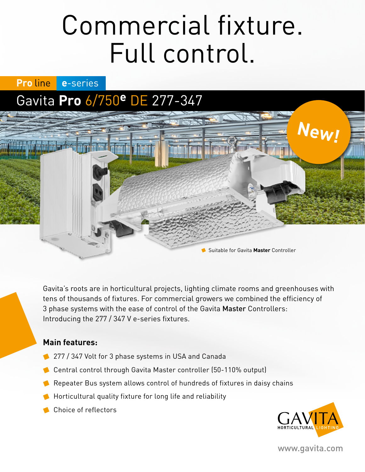# Commercial fixture. Full control.

**Proline** e-series

## Gavita **Pro** 6/750**e** DE 277-347

Gavita's roots are in horticultural projects, lighting climate rooms and greenhouses with tens of thousands of fixtures. For commercial growers we combined the efficiency of 3 phase systems with the ease of control of the Gavita Master Controllers: Introducing the 277 / 347 V e-series fixtures.

Suitable for Gavita **Master** Controller

### **Main features:**

- <sup>2</sup> 277 / 347 Volt for 3 phase systems in USA and Canada
- Central control through Gavita Master controller (50-110% output)
- Repeater Bus system allows control of hundreds of fixtures in daisy chains
- **Horticultural quality fixture for long life and reliability**
- Choice of reflectors



**New!**

www.gavita.com